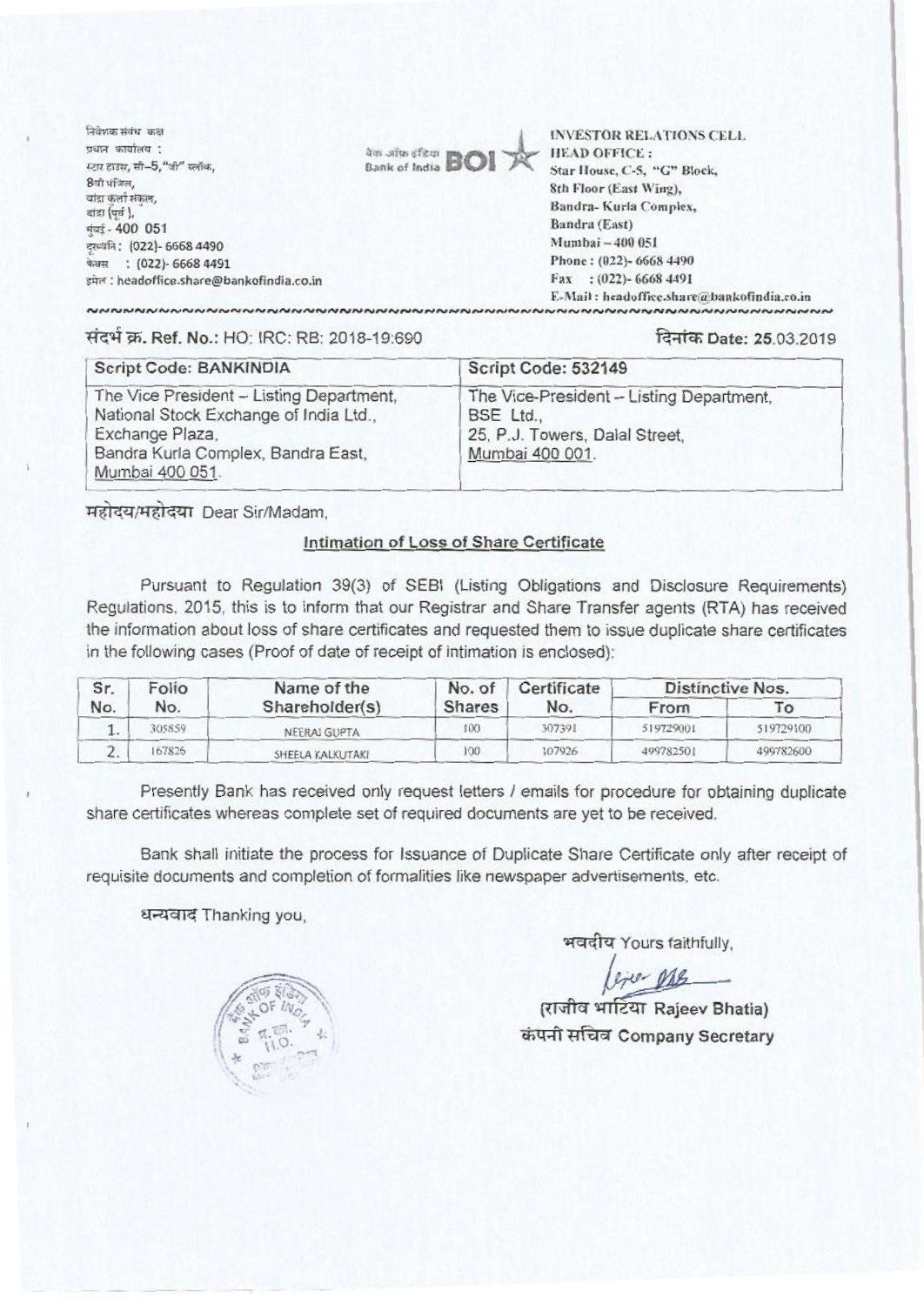निवेणक संबंध कक्ष प्रधान कार्यालय : स्टार हाउस, सी-5, "जी" ब्लॉक, 8गी मंजिल, .<br>बांडा कर्ला संकल, बांदा (पूर्व), मुंबई - 400 051 दुरव्वति: (022)- 6668 4490 फेक्स: (022)- 6668 4491 इमेल : headoffice.share@bankofindia.co.in



**INVESTOR RELATIONS CELL HEAD OFFICE:** Star House, C-5, "G" Block, 8th Floor (East Wing), Bandra-Kurla Complex. Bandra (East) Mumbai - 400 051 Phone: (022)- 6668 4490 Fax: (022)-6668 4491 E-Mail: headoffice.share@bankofindia.co.in

**พยายามพยายามพยายามพยายามพยายามพยายามพยายามพยายามพยายามพยายามพยายามพยายามพยายาม** 

## संदर्भ क्र. Ref. No.: HO: IRC: RB: 2018-19:690

## दिनांक Date: 25.03.2019

| <b>Script Code: BANKINDIA</b>                                                                                                                                  | Script Code: 532149                                                                                        |  |  |
|----------------------------------------------------------------------------------------------------------------------------------------------------------------|------------------------------------------------------------------------------------------------------------|--|--|
| The Vice President - Listing Department,<br>National Stock Exchange of India Ltd.,<br>Exchange Plaza,<br>Bandra Kurla Complex, Bandra East,<br>Mumbai 400 051. | The Vice-President - Listing Department,<br>BSE Ltd.,<br>25, P.J. Towers, Dalal Street,<br>Mumbai 400 001. |  |  |

महोदय/महोदया Dear Sir/Madam.

## Intimation of Loss of Share Certificate

Pursuant to Regulation 39(3) of SEBI (Listing Obligations and Disclosure Requirements) Regulations, 2015, this is to inform that our Registrar and Share Transfer agents (RTA) has received the information about loss of share certificates and requested them to issue duplicate share certificates in the following cases (Proof of date of receipt of intimation is enclosed):

| Sr.<br>No. | Folio<br>No. | Name of the<br>Shareholder(s) | No. of<br>Shares | Certificate<br>No. | Distinctive Nos. |           |
|------------|--------------|-------------------------------|------------------|--------------------|------------------|-----------|
|            |              |                               |                  |                    | From             | To        |
|            | 305859       | NEERAJ GUPTA                  | 100              | 307391             | 519729001        | 519729100 |
| £.         | 167826       | SHEELA KALKUTAKI              | 100              | 107926             | 499782501        | 499782600 |

Presently Bank has received only request letters / emails for procedure for obtaining duplicate share certificates whereas complete set of required documents are yet to be received.

Bank shall initiate the process for Issuance of Duplicate Share Certificate only after receipt of requisite documents and completion of formalities like newspaper advertisements, etc.

धन्यवाद Thanking you,

भवदीय Yours faithfully,

(राजीव भार्टिया Rajeev Bhatia) कंपनी सचिव Company Secretary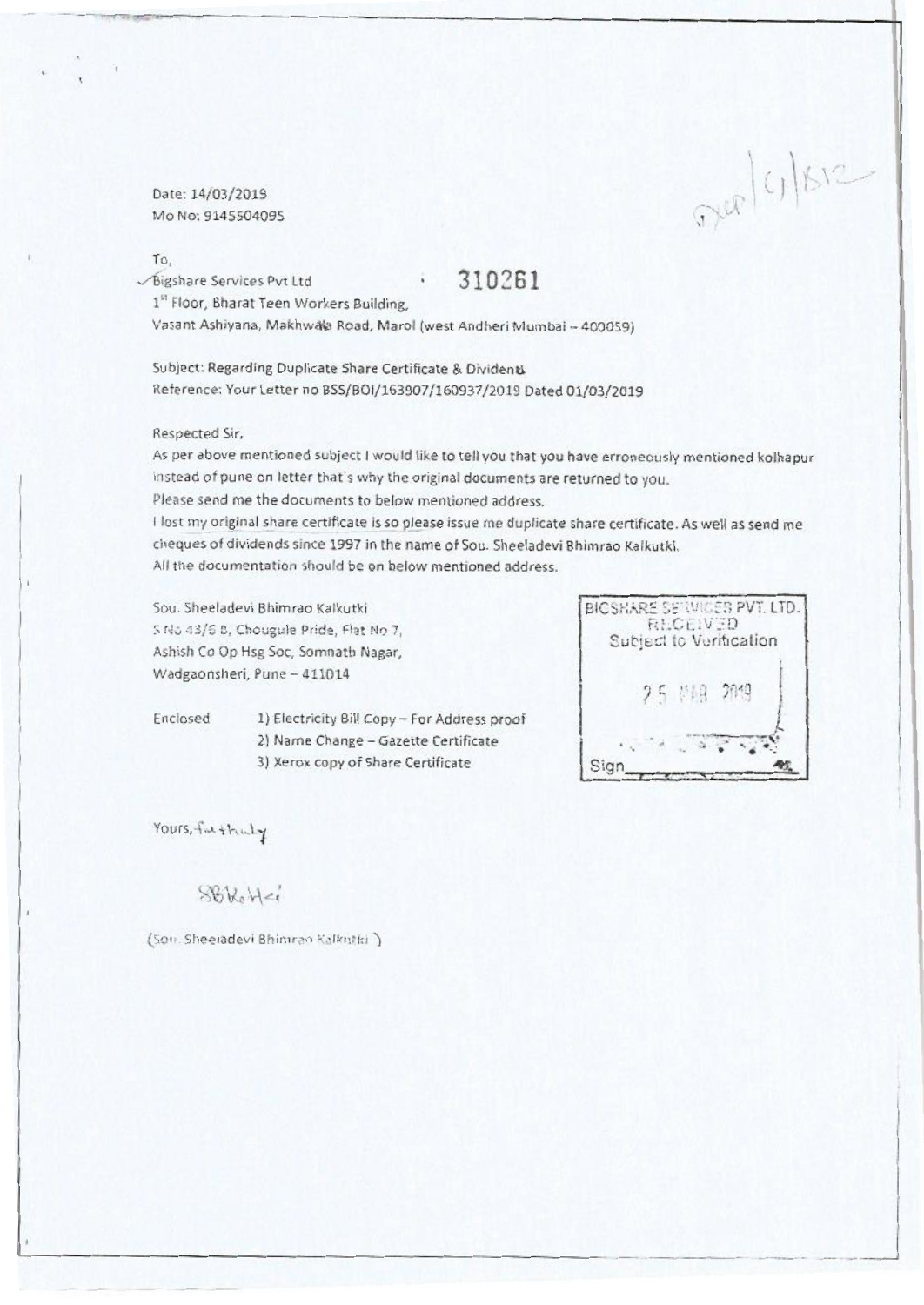Date: 14/03/2019 Mo No: 9145504095

### To,

Bigshare Services Pvt Ltd 310261

1" Floor, Bharat Teen Workers Building,

Vasant Ashiyana, Makhwaya Road, Marol (west Andheri Mumbai - 400059)

Subject: Regarding Duplicate Share Certificate & Dividentl Reference: Your Letter no BSS/BOI/163907/160937/2019 Dated 01/03/2019

## Respected Sir,

As per above mentioned subject I would like to tell you that you have erroneously mentioned kolhapur instead of pune on letter that's why the original documents are returned to you.

Please send me the documents to below mentioned address.

I lost my original share certificate is so please issue me duplicate share certificate. As well as send me cheques of dividends since 1997 in the name of Sou. Sheeladevi Bhimrao Kalkutki.

All the documentation should be on below mentioned address.

Sou. Sheeladevi Bhimrao Kalkutki S No 43/6 8, Chougule Pride, Flat No 7, Ashish Co Op Hsg Soc, Somnath Nagar, Wadgaonsheri, Pune - 411014

- Enclosed 1) Electricity Bill Copy For Address proof 2) Name Change - Gazette Certificate
	- 3) Xerox copy of Share Certificate



 $D(x|c)$  /  $S12-$ 

Yours, fact that of

# $S6k_0H-i$

(Son. Sheeladevi Bhimran Kalkutki )